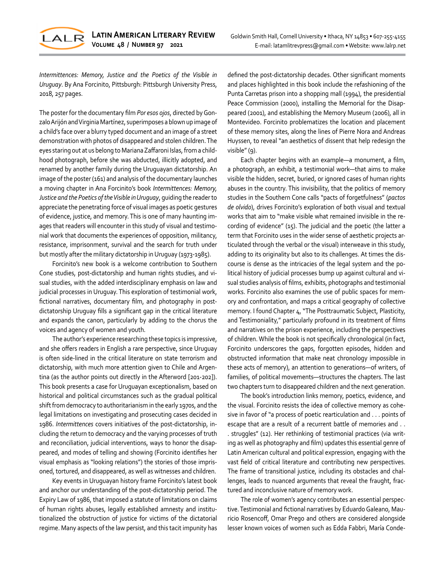

*Intermittences: Memory, Justice and the Poetics of the Visible in Uruguay*. By Ana Forcinito, Pittsburgh: Pittsburgh University Press, 2018, 257 pages.

The poster for the documentary film *Por esos ojos*, directed by Gonzalo Arijón and Virginia Martínez, superimposes a blown up image of a child's face over a blurry typed document and an image of a street demonstration with photos of disappeared and stolen children. The eyes staring out at us belong to Mariana Zaffaroni Islas, from a childhood photograph, before she was abducted, illicitly adopted, and renamed by another family during the Uruguayan dictatorship. An image of the poster (161) and analysis of the documentary launches a moving chapter in Ana Forcinito's book *Intermittences: Memory, Justice and the Poetics of the Visible in Uruguay*, guiding the reader to appreciate the penetrating force of visual images as poetic gestures of evidence, justice, and memory. This is one of many haunting images that readers will encounter in this study of visual and testimonial work that documents the experiences of opposition, militancy, resistance, imprisonment, survival and the search for truth under but mostly after the military dictatorship in Uruguay (1973-1985).

Forcinito's new book is a welcome contribution to Southern Cone studies, post-dictatorship and human rights studies, and visual studies, with the added interdisciplinary emphasis on law and judicial processes in Uruguay. This exploration of testimonial work, fictional narratives, documentary film, and photography in postdictatorship Uruguay fills a significant gap in the critical literature and expands the canon, particularly by adding to the chorus the voices and agency of women and youth.

The author's experience researching these topics is impressive, and she offers readers in English a rare perspective, since Uruguay is often side-lined in the critical literature on state terrorism and dictatorship, with much more attention given to Chile and Argentina (as the author points out directly in the Afterword [201-202]). This book presents a case for Uruguayan exceptionalism, based on historical and political circumstances such as the gradual political shift from democracy to authoritarianism in the early 1970s, and the legal limitations on investigating and prosecuting cases decided in 1986. *Intermittences* covers initiatives of the post-dictatorship, including the return to democracy and the varying processes of truth and reconciliation, judicial interventions, ways to honor the disappeared, and modes of telling and showing (Forcinito identifies her visual emphasis as "looking relations") the stories of those imprisoned, tortured, and disappeared, as well as witnesses and children.

Key events in Uruguayan history frame Forcinito's latest book and anchor our understanding of the post-dictatorship period. The Expiry Law of 1986, that imposed a statute of limitations on claims of human rights abuses, legally established amnesty and institutionalized the obstruction of justice for victims of the dictatorial regime. Many aspects of the law persist, and this tacit impunity has

defined the post-dictatorship decades. Other significant moments and places highlighted in this book include the refashioning of the Punta Carretas prison into a shopping mall (1994), the presidential Peace Commission (2000), installing the Memorial for the Disappeared (2001), and establishing the Memory Museum (2006), all in Montevideo. Forcinito problematizes the location and placement of these memory sites, along the lines of Pierre Nora and Andreas Huyssen, to reveal "an aesthetics of dissent that help redesign the visible" (9).

Each chapter begins with an example—a monument, a film, a photograph, an exhibit, a testimonial work—that aims to make visible the hidden, secret, buried, or ignored cases of human rights abuses in the country. This invisibility, that the politics of memory studies in the Southern Cone calls "pacts of forgetfulness" (*pactos de olvido*), drives Forcinito's exploration of both visual and textual works that aim to "make visible what remained invisible in the recording of evidence" (15). The judicial and the poetic (the latter a term that Forcinito uses in the wider sense of aesthetic projects articulated through the verbal or the visual) interweave in this study, adding to its originality but also to its challenges. At times the discourse is dense as the intricacies of the legal system and the political history of judicial processes bump up against cultural and visual studies analysis of films, exhibits, photographs and testimonial works. Forcinito also examines the use of public spaces for memory and confrontation, and maps a critical geography of collective memory. I found Chapter 4, "The Posttraumatic Subject, Plasticity, and Testimoniality," particularly profound in its treatment of films and narratives on the prison experience, including the perspectives of children. While the book is not specifically chronological (in fact, Forcinito underscores the gaps, forgotten episodes, hidden and obstructed information that make neat chronology impossible in these acts of memory), an attention to generations—of writers, of families, of political movements—structures the chapters. The last two chapters turn to disappeared children and the next generation.

The book's introduction links memory, poetics, evidence, and the visual. Forcinito resists the idea of collective memory as cohesive in favor of "a process of poetic rearticulation and . . . points of escape that are a result of a recurrent battle of memories and . . . struggles" (12). Her rethinking of testimonial practices (via writing as well as photography and film) updates this essential genre of Latin American cultural and political expression, engaging with the vast field of critical literature and contributing new perspectives. The frame of transitional justice, including its obstacles and challenges, leads to nuanced arguments that reveal the fraught, fractured and inconclusive nature of memory work.

The role of women's agency contributes an essential perspective. Testimonial and fictional narratives by Eduardo Galeano, Mauricio Rosencoff, Omar Prego and others are considered alongside lesser known voices of women such as Edda Fabbri, María Conde